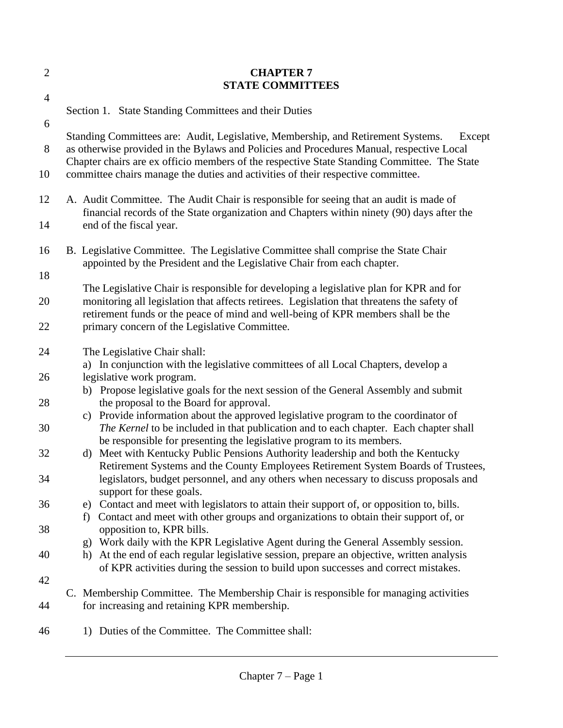| $\overline{2}$ | <b>CHAPTER 7</b><br><b>STATE COMMITTEES</b>                                                                                                                                                                                                                                           |
|----------------|---------------------------------------------------------------------------------------------------------------------------------------------------------------------------------------------------------------------------------------------------------------------------------------|
| $\overline{4}$ |                                                                                                                                                                                                                                                                                       |
| 6              | Section 1. State Standing Committees and their Duties                                                                                                                                                                                                                                 |
| 8              | Standing Committees are: Audit, Legislative, Membership, and Retirement Systems.<br>Except<br>as otherwise provided in the Bylaws and Policies and Procedures Manual, respective Local<br>Chapter chairs are ex officio members of the respective State Standing Committee. The State |
| 10             | committee chairs manage the duties and activities of their respective committee.                                                                                                                                                                                                      |
| 12             | A. Audit Committee. The Audit Chair is responsible for seeing that an audit is made of<br>financial records of the State organization and Chapters within ninety (90) days after the                                                                                                  |
| 14             | end of the fiscal year.                                                                                                                                                                                                                                                               |
| 16             | B. Legislative Committee. The Legislative Committee shall comprise the State Chair<br>appointed by the President and the Legislative Chair from each chapter.                                                                                                                         |
| 18             |                                                                                                                                                                                                                                                                                       |
| 20             | The Legislative Chair is responsible for developing a legislative plan for KPR and for<br>monitoring all legislation that affects retirees. Legislation that threatens the safety of<br>retirement funds or the peace of mind and well-being of KPR members shall be the              |
| 22             | primary concern of the Legislative Committee.                                                                                                                                                                                                                                         |
| 24             | The Legislative Chair shall:                                                                                                                                                                                                                                                          |
| 26             | a) In conjunction with the legislative committees of all Local Chapters, develop a                                                                                                                                                                                                    |
|                | legislative work program.<br>b) Propose legislative goals for the next session of the General Assembly and submit                                                                                                                                                                     |
| 28             | the proposal to the Board for approval.                                                                                                                                                                                                                                               |
| 30             | Provide information about the approved legislative program to the coordinator of<br>C)<br>The Kernel to be included in that publication and to each chapter. Each chapter shall                                                                                                       |
| 32             | be responsible for presenting the legislative program to its members.<br>Meet with Kentucky Public Pensions Authority leadership and both the Kentucky<br>d)                                                                                                                          |
|                | Retirement Systems and the County Employees Retirement System Boards of Trustees,                                                                                                                                                                                                     |
| 34             | legislators, budget personnel, and any others when necessary to discuss proposals and<br>support for these goals.                                                                                                                                                                     |
| 36             | e) Contact and meet with legislators to attain their support of, or opposition to, bills.                                                                                                                                                                                             |
|                | f) Contact and meet with other groups and organizations to obtain their support of, or                                                                                                                                                                                                |
| 38             | opposition to, KPR bills.<br>Work daily with the KPR Legislative Agent during the General Assembly session.<br>$\mathbf{g}$                                                                                                                                                           |
| 40             | At the end of each regular legislative session, prepare an objective, written analysis<br>h)<br>of KPR activities during the session to build upon successes and correct mistakes.                                                                                                    |
| 42             |                                                                                                                                                                                                                                                                                       |
| 44             | C. Membership Committee. The Membership Chair is responsible for managing activities<br>for increasing and retaining KPR membership.                                                                                                                                                  |
| 46             | 1) Duties of the Committee. The Committee shall:                                                                                                                                                                                                                                      |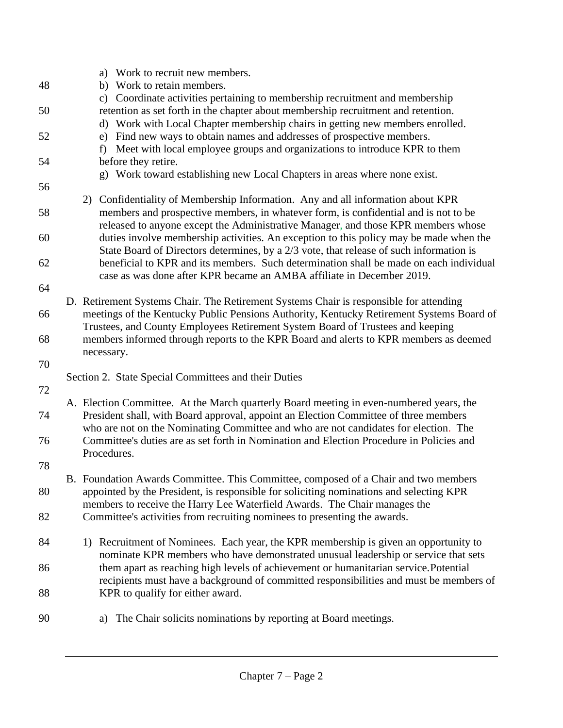|    | a) Work to recruit new members.                                                          |
|----|------------------------------------------------------------------------------------------|
| 48 | b) Work to retain members.                                                               |
|    | c) Coordinate activities pertaining to membership recruitment and membership             |
| 50 | retention as set forth in the chapter about membership recruitment and retention.        |
|    | d) Work with Local Chapter membership chairs in getting new members enrolled.            |
| 52 | Find new ways to obtain names and addresses of prospective members.<br>e)                |
|    | Meet with local employee groups and organizations to introduce KPR to them<br>f          |
| 54 | before they retire.                                                                      |
|    | g) Work toward establishing new Local Chapters in areas where none exist.                |
| 56 |                                                                                          |
|    | 2) Confidentiality of Membership Information. Any and all information about KPR          |
| 58 | members and prospective members, in whatever form, is confidential and is not to be      |
|    | released to anyone except the Administrative Manager, and those KPR members whose        |
| 60 | duties involve membership activities. An exception to this policy may be made when the   |
|    | State Board of Directors determines, by a 2/3 vote, that release of such information is  |
| 62 | beneficial to KPR and its members. Such determination shall be made on each individual   |
|    | case as was done after KPR became an AMBA affiliate in December 2019.                    |
| 64 |                                                                                          |
|    | D. Retirement Systems Chair. The Retirement Systems Chair is responsible for attending   |
| 66 | meetings of the Kentucky Public Pensions Authority, Kentucky Retirement Systems Board of |
|    | Trustees, and County Employees Retirement System Board of Trustees and keeping           |
| 68 | members informed through reports to the KPR Board and alerts to KPR members as deemed    |
|    | necessary.                                                                               |
| 70 |                                                                                          |
|    | Section 2. State Special Committees and their Duties                                     |
| 72 |                                                                                          |
|    | A. Election Committee. At the March quarterly Board meeting in even-numbered years, the  |
| 74 | President shall, with Board approval, appoint an Election Committee of three members     |
|    | who are not on the Nominating Committee and who are not candidates for election. The     |
| 76 | Committee's duties are as set forth in Nomination and Election Procedure in Policies and |
|    |                                                                                          |
|    |                                                                                          |
|    | Procedures.                                                                              |
| 78 |                                                                                          |
|    | B. Foundation Awards Committee. This Committee, composed of a Chair and two members      |
| 80 | appointed by the President, is responsible for soliciting nominations and selecting KPR  |
|    | members to receive the Harry Lee Waterfield Awards. The Chair manages the                |
| 82 | Committee's activities from recruiting nominees to presenting the awards.                |
|    |                                                                                          |
| 84 | Recruitment of Nominees. Each year, the KPR membership is given an opportunity to<br>1)  |
|    | nominate KPR members who have demonstrated unusual leadership or service that sets       |
| 86 | them apart as reaching high levels of achievement or humanitarian service. Potential     |
|    | recipients must have a background of committed responsibilities and must be members of   |
| 88 | KPR to qualify for either award.                                                         |
| 90 | The Chair solicits nominations by reporting at Board meetings.<br>a)                     |